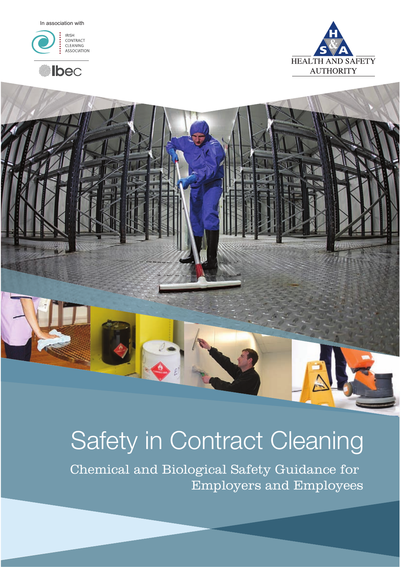In association with







# Safety in Contract Cleaning

Chemical and Biological Safety Guidance for Employers and Employees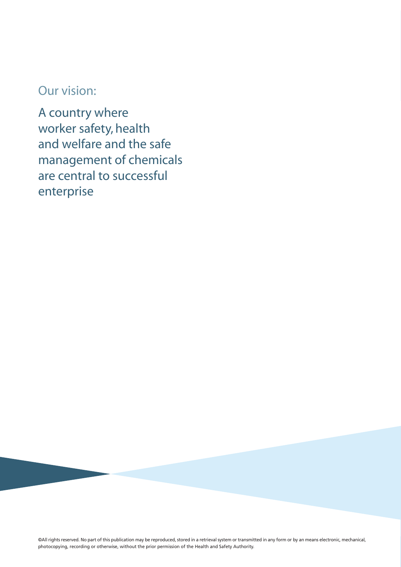# Our vision:

A country where worker safety, health and welfare and the safe management of chemicals are central to successful enterprise

©All rights reserved. No part of this publication may be reproduced, stored in a retrieval system or transmitted in any form or by an means electronic, mechanical, photocopying, recording or otherwise, without the prior permission of the Health and Safety Authority.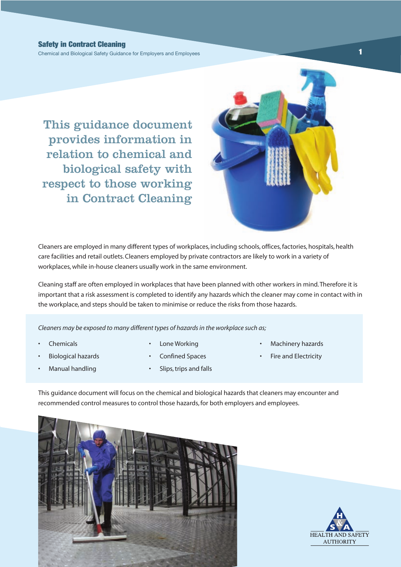Chemical and Biological Safety Guidance for Employers and Employees **1**

This guidance document provides information in relation to chemical and biological safety with respect to those working in Contract Cleaning



Cleaners are employed in many different types of workplaces, including schools, offices, factories, hospitals, health care facilities and retail outlets. Cleaners employed by private contractors are likely to work in a variety of workplaces, while in-house cleaners usually work in the same environment.

Cleaning staff are often employed in workplaces that have been planned with other workers in mind. Therefore it is important that a risk assessment is completed to identify any hazards which the cleaner may come in contact with in the workplace, and steps should be taken to minimise or reduce the risks from those hazards.

*Cleaners may be exposed to many different types of hazards in the workplace such as;*

**Chemicals** 

- Lone Working
- Machinery hazards
	- Fire and Electricity

• Manual handling

• Biological hazards

- Confined Spaces
- Slips, trips and falls

This guidance document will focus on the chemical and biological hazards that cleaners may encounter and recommended control measures to control those hazards, for both employers and employees.



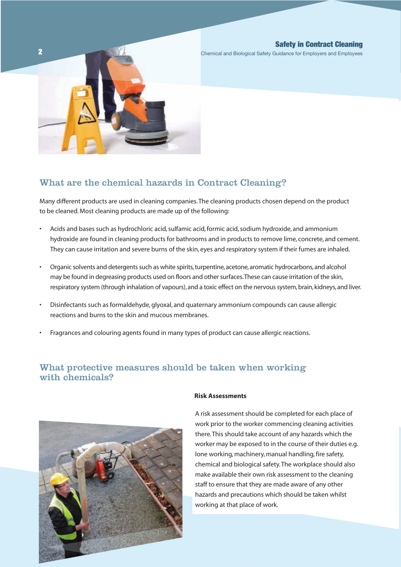

Chemical and Biological Safety Guidance for Employers and Employees

## What are the chemical hazards in Contract Cleaning?

Many different products are used in cleaning companies. The cleaning products chosen depend on the product to be cleaned. Most cleaning products are made up of the following:

- Acids and bases such as hydrochloric acid, sulfamic acid, formic acid, sodium hydroxide, and ammonium hydroxide are found in cleaning products for bathrooms and in products to remove lime, concrete, and cement. They can cause irritation and severe burns of the skin, eyes and respiratory system if their fumes are inhaled.
- Organic solvents and detergents such as white spirits, turpentine, acetone, aromatic hydrocarbons, and alcohol may be found in degreasing products used on floors and other surfaces. These can cause irritation of the skin, respiratory system (through inhalation of vapours), and a toxic effect on the nervous system, brain, kidneys, and liver.
- Disinfectants such as formaldehyde, glyoxal, and quaternary ammonium compounds can cause allergic reactions and burns to the skin and mucous membranes.
- Fragrances and colouring agents found in many types of product can cause allergic reactions.

## What protective measures should be taken when working with chemicals?



## **Risk Assessments**

A risk assessment should be completed for each place of work prior to the worker commencing cleaning activities there. This should take account of any hazards which the worker may be exposed to in the course of their duties e.g. lone working, machinery, manual handling, fire safety, chemical and biological safety. The workplace should also make available their own risk assessment to the cleaning staff to ensure that they are made aware of any other hazards and precautions which should be taken whilst working at that place of work.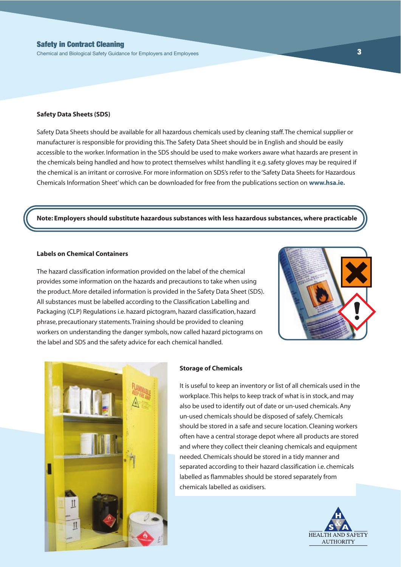Chemical and Biological Safety Guidance for Employers and Employees **3** 

#### **Safety Data Sheets (SDS)**

Safety Data Sheets should be available for all hazardous chemicals used by cleaning staff. The chemical supplier or manufacturer is responsible for providing this. The Safety Data Sheet should be in English and should be easily accessible to the worker. Information in the SDS should be used to make workers aware what hazards are present in the chemicals being handled and how to protect themselves whilst handling it e.g. safety gloves may be required if the chemical is an irritant or corrosive. For more information on SDS's refer to the 'Safety Data Sheets for Hazardous Chemicals Information Sheet' which can be downloaded for free from the publications section on **www.hsa.ie.** 

## **Note: Employers should substitute hazardous substances with less hazardous substances, where practicable**

## **Labels on Chemical Containers**

The hazard classification information provided on the label of the chemical provides some information on the hazards and precautions to take when using the product. More detailed information is provided in the Safety Data Sheet (SDS). All substances must be labelled according to the Classification Labelling and Packaging (CLP) Regulations i.e. hazard pictogram, hazard classification, hazard phrase, precautionary statements. Training should be provided to cleaning workers on understanding the danger symbols, now called hazard pictograms on the label and SDS and the safety advice for each chemical handled.





#### **Storage of Chemicals**

It is useful to keep an inventory or list of all chemicals used in the workplace. This helps to keep track of what is in stock, and may also be used to identify out of date or un-used chemicals. Any un-used chemicals should be disposed of safely. Chemicals should be stored in a safe and secure location. Cleaning workers often have a central storage depot where all products are stored and where they collect their cleaning chemicals and equipment needed. Chemicals should be stored in a tidy manner and separated according to their hazard classification i.e. chemicals labelled as flammables should be stored separately from chemicals labelled as oxidisers.

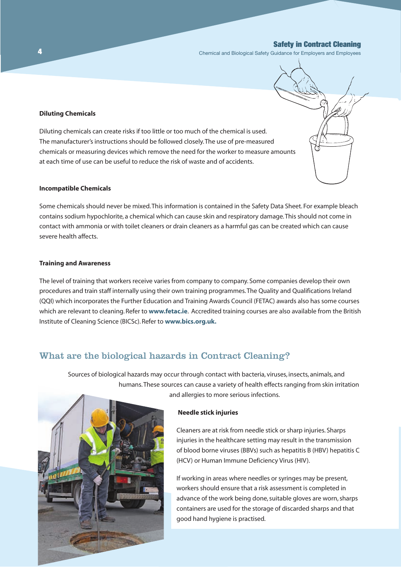Chemical and Biological Safety Guidance for Employers and Employees

## **Diluting Chemicals**

Diluting chemicals can create risks if too little or too much of the chemical is used. The manufacturer's instructions should be followed closely. The use of pre-measured chemicals or measuring devices which remove the need for the worker to measure amounts at each time of use can be useful to reduce the risk of waste and of accidents.

#### **Incompatible Chemicals**

Some chemicals should never be mixed. This information is contained in the Safety Data Sheet. For example bleach contains sodium hypochlorite, a chemical which can cause skin and respiratory damage. This should not come in contact with ammonia or with toilet cleaners or drain cleaners as a harmful gas can be created which can cause severe health affects.

## **Training and Awareness**

The level of training that workers receive varies from company to company. Some companies develop their own procedures and train staff internally using their own training programmes. The Quality and Qualifications Ireland (QQI) which incorporates the Further Education and Training Awards Council (FETAC) awards also has some courses which are relevant to cleaning. Refer to **www.fetac.ie**. Accredited training courses are also available from the British Institute of Cleaning Science (BICSc). Refer to **www.bics.org.uk.**

## What are the biological hazards in Contract Cleaning?

Sources of biological hazards may occur through contact with bacteria, viruses, insects, animals, and humans. These sources can cause a variety of health effects ranging from skin irritation and allergies to more serious infections.



Cleaners are at risk from needle stick or sharp injuries. Sharps injuries in the healthcare setting may result in the transmission of blood borne viruses (BBVs) such as hepatitis B (HBV) hepatitis C (HCV) or Human Immune Deficiency Virus (HIV).

If working in areas where needles or syringes may be present, workers should ensure that a risk assessment is completed in advance of the work being done, suitable gloves are worn, sharps containers are used for the storage of discarded sharps and that good hand hygiene is practised.



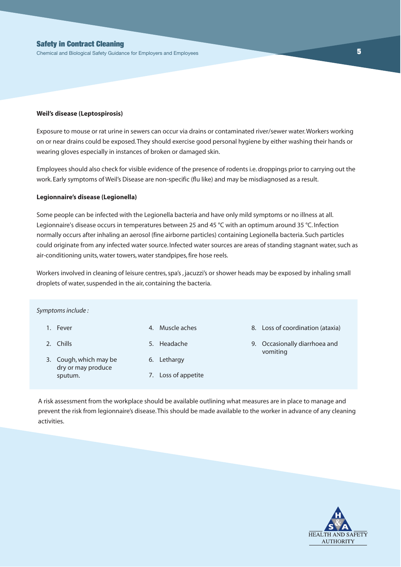Chemical and Biological Safety Guidance for Employers and Employees **5**

#### **Weil's disease (Leptospirosis)**

Exposure to mouse or rat urine in sewers can occur via drains or contaminated river/sewer water. Workers working on or near drains could be exposed. They should exercise good personal hygiene by either washing their hands or wearing gloves especially in instances of broken or damaged skin.

Employees should also check for visible evidence of the presence of rodents i.e. droppings prior to carrying out the work. Early symptoms of Weil's Disease are non-specific (flu like) and may be misdiagnosed as a result.

## **Legionnaire's disease (Legionella)**

Some people can be infected with the Legionella bacteria and have only mild symptoms or no illness at all. Legionnaire's disease occurs in temperatures between 25 and 45 °C with an optimum around 35 °C. Infection normally occurs after inhaling an aerosol (fine airborne particles) containing Legionella bacteria. Such particles could originate from any infected water source. Infected water sources are areas of standing stagnant water, such as air-conditioning units, water towers, water standpipes, fire hose reels.

Workers involved in cleaning of leisure centres, spa's , jacuzzi's or shower heads may be exposed by inhaling small droplets of water, suspended in the air, containing the bacteria.

*Symptoms include :*

- 1. Fever
- 2. Chills
- 4. Muscle aches
- 5. Headache
- 3. Cough, which may be dry or may produce sputum.
- 6. Lethargy
- 7. Loss of appetite
- 8. Loss of coordination (ataxia)
- 9. Occasionally diarrhoea and vomiting

A risk assessment from the workplace should be available outlining what measures are in place to manage and prevent the risk from legionnaire's disease. This should be made available to the worker in advance of any cleaning activities.

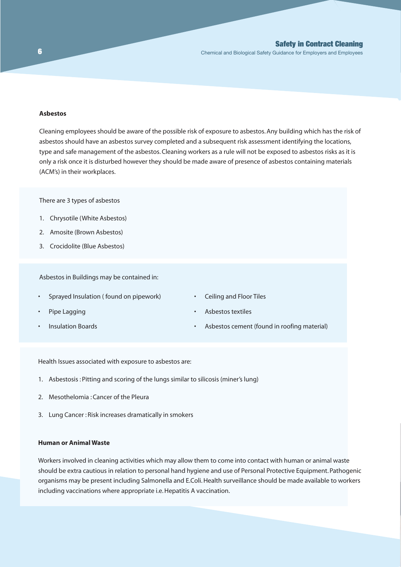Chemical and Biological Safety Guidance for Employers and Employees

## **Asbestos**

Cleaning employees should be aware of the possible risk of exposure to asbestos. Any building which has the risk of asbestos should have an asbestos survey completed and a subsequent risk assessment identifying the locations, type and safe management of the asbestos. Cleaning workers as a rule will not be exposed to asbestos risks as it is only a risk once it is disturbed however they should be made aware of presence of asbestos containing materials (ACM's) in their workplaces.

There are 3 types of asbestos

- 1. Chrysotile (White Asbestos)
- 2. Amosite (Brown Asbestos)
- 3. Crocidolite (Blue Asbestos)

Asbestos in Buildings may be contained in:

- Sprayed Insulation ( found on pipework)
- Pipe Lagging
- Insulation Boards
- Ceiling and Floor Tiles
- Asbestos textiles
- Asbestos cement (found in roofing material)

Health Issues associated with exposure to asbestos are:

- 1. Asbestosis : Pitting and scoring of the lungs similar to silicosis (miner's lung)
- 2. Mesothelomia : Cancer of the Pleura
- 3. Lung Cancer : Risk increases dramatically in smokers

## **Human or Animal Waste**

Workers involved in cleaning activities which may allow them to come into contact with human or animal waste should be extra cautious in relation to personal hand hygiene and use of Personal Protective Equipment. Pathogenic organisms may be present including Salmonella and E.Coli. Health surveillance should be made available to workers including vaccinations where appropriate i.e. Hepatitis A vaccination.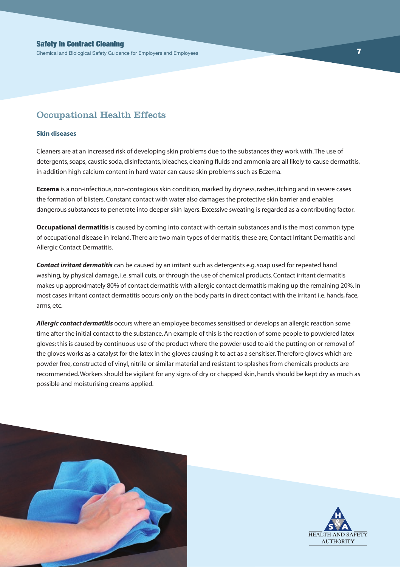## Occupational Health Effects

#### **Skin diseases**

Cleaners are at an increased risk of developing skin problems due to the substances they work with. The use of detergents, soaps, caustic soda, disinfectants, bleaches, cleaning fluids and ammonia are all likely to cause dermatitis, in addition high calcium content in hard water can cause skin problems such as Eczema.

**Eczema** is a non-infectious, non-contagious skin condition, marked by dryness, rashes, itching and in severe cases the formation of blisters. Constant contact with water also damages the protective skin barrier and enables dangerous substances to penetrate into deeper skin layers. Excessive sweating is regarded as a contributing factor.

**Occupational dermatitis** is caused by coming into contact with certain substances and is the most common type of occupational disease in Ireland. There are two main types of dermatitis, these are; Contact Irritant Dermatitis and Allergic Contact Dermatitis.

*Contact irritant dermatitis* can be caused by an irritant such as detergents e.g. soap used for repeated hand washing, by physical damage, i.e. small cuts, or through the use of chemical products. Contact irritant dermatitis makes up approximately 80% of contact dermatitis with allergic contact dermatitis making up the remaining 20%. In most cases irritant contact dermatitis occurs only on the body parts in direct contact with the irritant i.e. hands, face, arms, etc.

*Allergic contact dermatitis* occurs where an employee becomes sensitised or develops an allergic reaction some time after the initial contact to the substance. An example of this is the reaction of some people to powdered latex gloves; this is caused by continuous use of the product where the powder used to aid the putting on or removal of the gloves works as a catalyst for the latex in the gloves causing it to act as a sensitiser. Therefore gloves which are powder free, constructed of vinyl, nitrile or similar material and resistant to splashes from chemicals products are recommended. Workers should be vigilant for any signs of dry or chapped skin, hands should be kept dry as much as possible and moisturising creams applied.



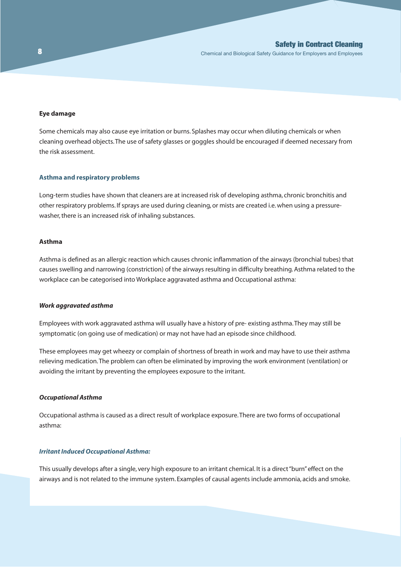## **Eye damage**

Some chemicals may also cause eye irritation or burns. Splashes may occur when diluting chemicals or when cleaning overhead objects. The use of safety glasses or goggles should be encouraged if deemed necessary from the risk assessment.

#### **Asthma and respiratory problems**

Long-term studies have shown that cleaners are at increased risk of developing asthma, chronic bronchitis and other respiratory problems. If sprays are used during cleaning, or mists are created i.e. when using a pressurewasher, there is an increased risk of inhaling substances.

## **Asthma**

Asthma is defined as an allergic reaction which causes chronic inflammation of the airways (bronchial tubes) that causes swelling and narrowing (constriction) of the airways resulting in difficulty breathing. Asthma related to the workplace can be categorised into Workplace aggravated asthma and Occupational asthma:

#### *Work aggravated asthma*

Employees with work aggravated asthma will usually have a history of pre- existing asthma. They may still be symptomatic (on going use of medication) or may not have had an episode since childhood.

These employees may get wheezy or complain of shortness of breath in work and may have to use their asthma relieving medication. The problem can often be eliminated by improving the work environment (ventilation) or avoiding the irritant by preventing the employees exposure to the irritant.

## *Occupational Asthma*

Occupational asthma is caused as a direct result of workplace exposure. There are two forms of occupational asthma:

#### *Irritant Induced Occupational Asthma:*

This usually develops after a single, very high exposure to an irritant chemical. It is a direct "burn" effect on the airways and is not related to the immune system. Examples of causal agents include ammonia, acids and smoke.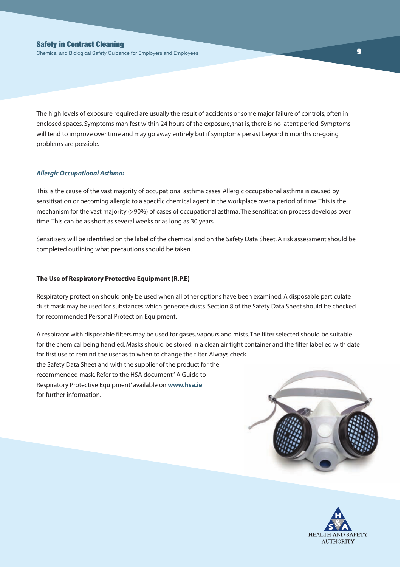The high levels of exposure required are usually the result of accidents or some major failure of controls, often in enclosed spaces. Symptoms manifest within 24 hours of the exposure, that is, there is no latent period. Symptoms will tend to improve over time and may go away entirely but if symptoms persist beyond 6 months on-going problems are possible.

#### *Allergic Occupational Asthma:*

This is the cause of the vast majority of occupational asthma cases. Allergic occupational asthma is caused by sensitisation or becoming allergic to a specific chemical agent in the workplace over a period of time. This is the mechanism for the vast majority (>90%) of cases of occupational asthma. The sensitisation process develops over time. This can be as short as several weeks or as long as 30 years.

Sensitisers will be identified on the label of the chemical and on the Safety Data Sheet. A risk assessment should be completed outlining what precautions should be taken.

## **The Use of Respiratory Protective Equipment (R.P.E)**

Respiratory protection should only be used when all other options have been examined. A disposable particulate dust mask may be used for substances which generate dusts. Section 8 of the Safety Data Sheet should be checked for recommended Personal Protection Equipment.

A respirator with disposable filters may be used for gases, vapours and mists. The filter selected should be suitable for the chemical being handled. Masks should be stored in a clean air tight container and the filter labelled with date for first use to remind the user as to when to change the filter. Always check the Safety Data Sheet and with the supplier of the product for the recommended mask. Refer to the HSA document ' A Guide to Respiratory Protective Equipment' available on **www.hsa.ie**  for further information.



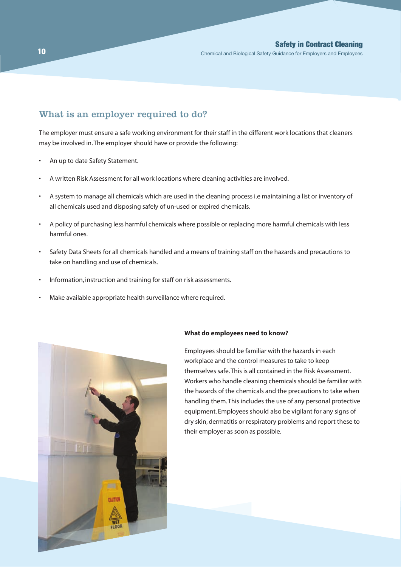## What is an employer required to do?

The employer must ensure a safe working environment for their staff in the different work locations that cleaners may be involved in. The employer should have or provide the following:

- An up to date Safety Statement.
- A written Risk Assessment for all work locations where cleaning activities are involved.
- A system to manage all chemicals which are used in the cleaning process i.e maintaining a list or inventory of all chemicals used and disposing safely of un-used or expired chemicals.
- A policy of purchasing less harmful chemicals where possible or replacing more harmful chemicals with less harmful ones.
- Safety Data Sheets for all chemicals handled and a means of training staff on the hazards and precautions to take on handling and use of chemicals.
- Information, instruction and training for staff on risk assessments.
- Make available appropriate health surveillance where required.



#### **What do employees need to know?**

Employees should be familiar with the hazards in each workplace and the control measures to take to keep themselves safe. This is all contained in the Risk Assessment. Workers who handle cleaning chemicals should be familiar with the hazards of the chemicals and the precautions to take when handling them. This includes the use of any personal protective equipment. Employees should also be vigilant for any signs of dry skin, dermatitis or respiratory problems and report these to their employer as soon as possible.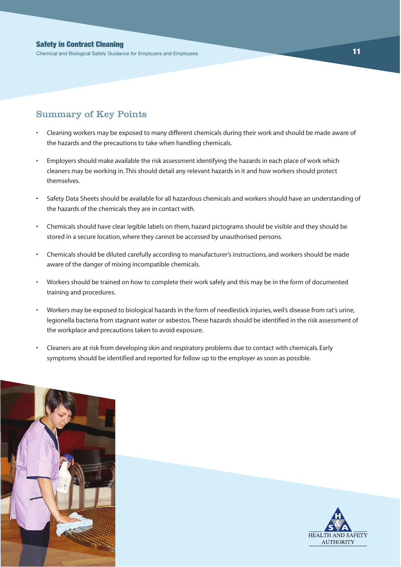Chemical and Biological Safety Guidance for Employers and Employees **11**

## Summary of Key Points

- Cleaning workers may be exposed to many different chemicals during their work and should be made aware of the hazards and the precautions to take when handling chemicals.
- Employers should make available the risk assessment identifying the hazards in each place of work which cleaners may be working in. This should detail any relevant hazards in it and how workers should protect themselves.
- Safety Data Sheets should be available for all hazardous chemicals and workers should have an understanding of the hazards of the chemicals they are in contact with.
- Chemicals should have clear legible labels on them, hazard pictograms should be visible and they should be stored in a secure location, where they cannot be accessed by unauthorised persons.
- Chemicals should be diluted carefully according to manufacturer's instructions, and workers should be made aware of the danger of mixing incompatible chemicals.
- Workers should be trained on how to complete their work safely and this may be in the form of documented training and procedures.
- Workers may be exposed to biological hazards in the form of needlestick injuries, weil's disease from rat's urine, legionella bacteria from stagnant water or asbestos. These hazards should be identified in the risk assessment of the workplace and precautions taken to avoid exposure.
- Cleaners are at risk from developing skin and respiratory problems due to contact with chemicals. Early symptoms should be identified and reported for follow up to the employer as soon as possible.



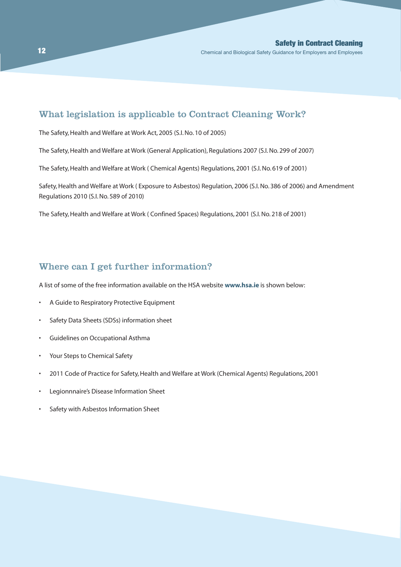## What legislation is applicable to Contract Cleaning Work?

The Safety, Health and Welfare at Work Act, 2005 (S.I. No. 10 of 2005)

The Safety, Health and Welfare at Work (General Application), Regulations 2007 (S.I. No. 299 of 2007)

The Safety, Health and Welfare at Work ( Chemical Agents) Regulations, 2001 (S.I. No. 619 of 2001)

Safety, Health and Welfare at Work ( Exposure to Asbestos) Regulation, 2006 (S.I. No. 386 of 2006) and Amendment Regulations 2010 (S.I. No. 589 of 2010)

The Safety, Health and Welfare at Work ( Confined Spaces) Regulations, 2001 (S.I. No. 218 of 2001)

## Where can I get further information?

A list of some of the free information available on the HSA website **www.hsa.ie** is shown below:

- A Guide to Respiratory Protective Equipment
- Safety Data Sheets (SDSs) information sheet
- Guidelines on Occupational Asthma
- Your Steps to Chemical Safety
- 2011 Code of Practice for Safety, Health and Welfare at Work (Chemical Agents) Regulations, 2001
- Legionnnaire's Disease Information Sheet
- Safety with Asbestos Information Sheet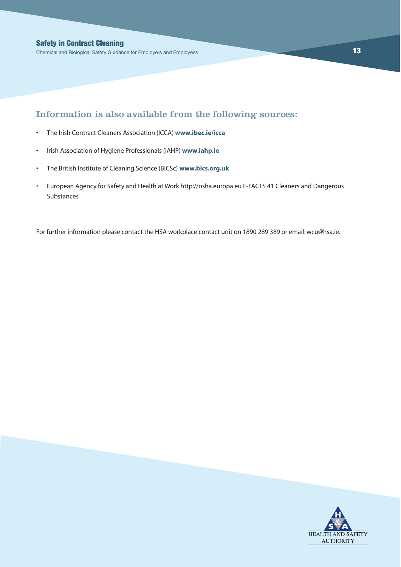## Information is also available from the following sources:

- The Irish Contract Cleaners Association (ICCA) **www.ibec.ie/icca**
- Irish Association of Hygiene Professionals (IAHP) **www.iahp.ie**
- The British Institute of Cleaning Science (BICSc) **www.bics.org.uk**
- European Agency for Safety and Health at Work http://osha.europa.eu E-FACTS 41 Cleaners and Dangerous Substances

For further information please contact the HSA workplace contact unit on 1890 289 389 or email: wcu@hsa.ie.